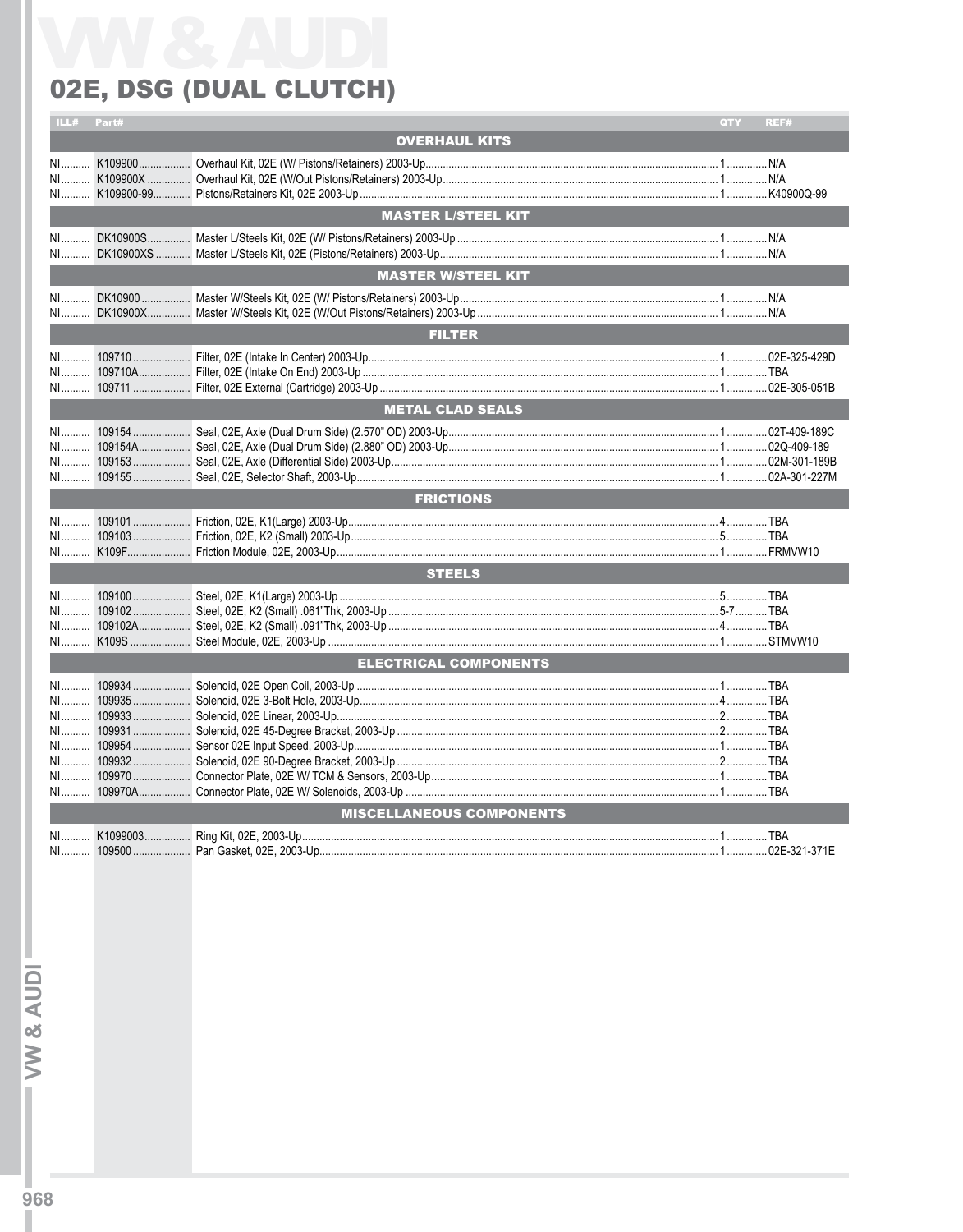## 02E, DSG (DUAL CLUTCH)

|    | Part# |                                 | QTY | REF# |
|----|-------|---------------------------------|-----|------|
|    |       | <b>OVERHAUL KITS</b>            |     |      |
|    |       |                                 |     |      |
|    |       |                                 |     |      |
| NI |       |                                 |     |      |
|    |       |                                 |     |      |
|    |       | <b>MASTER L/STEEL KIT</b>       |     |      |
|    |       |                                 |     |      |
| NI |       |                                 |     |      |
|    |       | <b>MASTER W/STEEL KIT</b>       |     |      |
|    |       |                                 |     |      |
| NI |       |                                 |     |      |
|    |       |                                 |     |      |
|    |       | <b>FILTER</b>                   |     |      |
|    |       |                                 |     |      |
|    |       |                                 |     |      |
|    |       |                                 |     |      |
|    |       | <b>METAL CLAD SEALS</b>         |     |      |
|    |       |                                 |     |      |
|    |       |                                 |     |      |
|    |       |                                 |     |      |
|    |       |                                 |     |      |
|    |       |                                 |     |      |
|    |       | <b>FRICTIONS</b>                |     |      |
|    |       |                                 |     |      |
|    |       |                                 |     |      |
|    |       |                                 |     |      |
|    |       | <b>STEELS</b>                   |     |      |
|    |       |                                 |     |      |
|    |       |                                 |     |      |
|    |       |                                 |     |      |
|    |       |                                 |     |      |
|    |       | <b>ELECTRICAL COMPONENTS</b>    |     |      |
|    |       |                                 |     |      |
|    |       |                                 |     |      |
|    |       |                                 |     |      |
|    |       |                                 |     |      |
|    |       |                                 |     |      |
|    |       |                                 |     |      |
|    |       |                                 |     |      |
| NI |       |                                 |     |      |
|    |       |                                 |     |      |
|    |       | <b>MISCELLANEOUS COMPONENTS</b> |     |      |
|    |       |                                 |     |      |
|    |       |                                 |     |      |

W & AUDI-